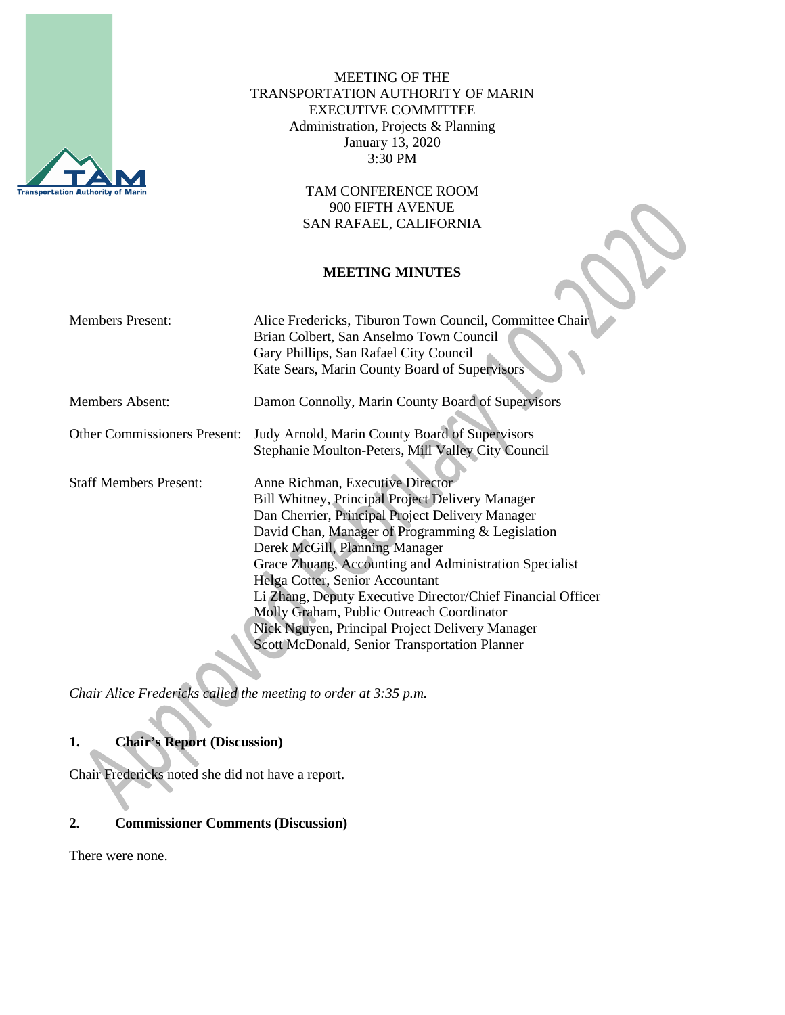

MEETING OF THE TRANSPORTATION AUTHORITY OF MARIN EXECUTIVE COMMITTEE Administration, Projects & Planning January 13, 2020 3:30 PM

> TAM CONFERENCE ROOM 900 FIFTH AVENUE SAN RAFAEL, CALIFORNIA

#### **MEETING MINUTES**

| <b>Members Present:</b>             | Alice Fredericks, Tiburon Town Council, Committee Chair<br>Brian Colbert, San Anselmo Town Council<br>Gary Phillips, San Rafael City Council<br>Kate Sears, Marin County Board of Supervisors                                                                                                                                                                                                                                                                                                                                                      |
|-------------------------------------|----------------------------------------------------------------------------------------------------------------------------------------------------------------------------------------------------------------------------------------------------------------------------------------------------------------------------------------------------------------------------------------------------------------------------------------------------------------------------------------------------------------------------------------------------|
| <b>Members Absent:</b>              | Damon Connolly, Marin County Board of Supervisors                                                                                                                                                                                                                                                                                                                                                                                                                                                                                                  |
| <b>Other Commissioners Present:</b> | Judy Arnold, Marin County Board of Supervisors<br>Stephanie Moulton-Peters, Mill Valley City Council                                                                                                                                                                                                                                                                                                                                                                                                                                               |
| <b>Staff Members Present:</b>       | Anne Richman, Executive Director<br><b>Bill Whitney, Principal Project Delivery Manager</b><br>Dan Cherrier, Principal Project Delivery Manager<br>David Chan, Manager of Programming & Legislation<br>Derek McGill, Planning Manager<br>Grace Zhuang, Accounting and Administration Specialist<br>Helga Cotter, Senior Accountant<br>Li Zhang, Deputy Executive Director/Chief Financial Officer<br>Molly Graham, Public Outreach Coordinator<br>Nick Nguyen, Principal Project Delivery Manager<br>Scott McDonald, Senior Transportation Planner |

*Chair Alice Fredericks called the meeting to order at 3:35 p.m.*

# **1. Chair's Report (Discussion)**

Chair Fredericks noted she did not have a report.

#### **2. Commissioner Comments (Discussion)**

There were none.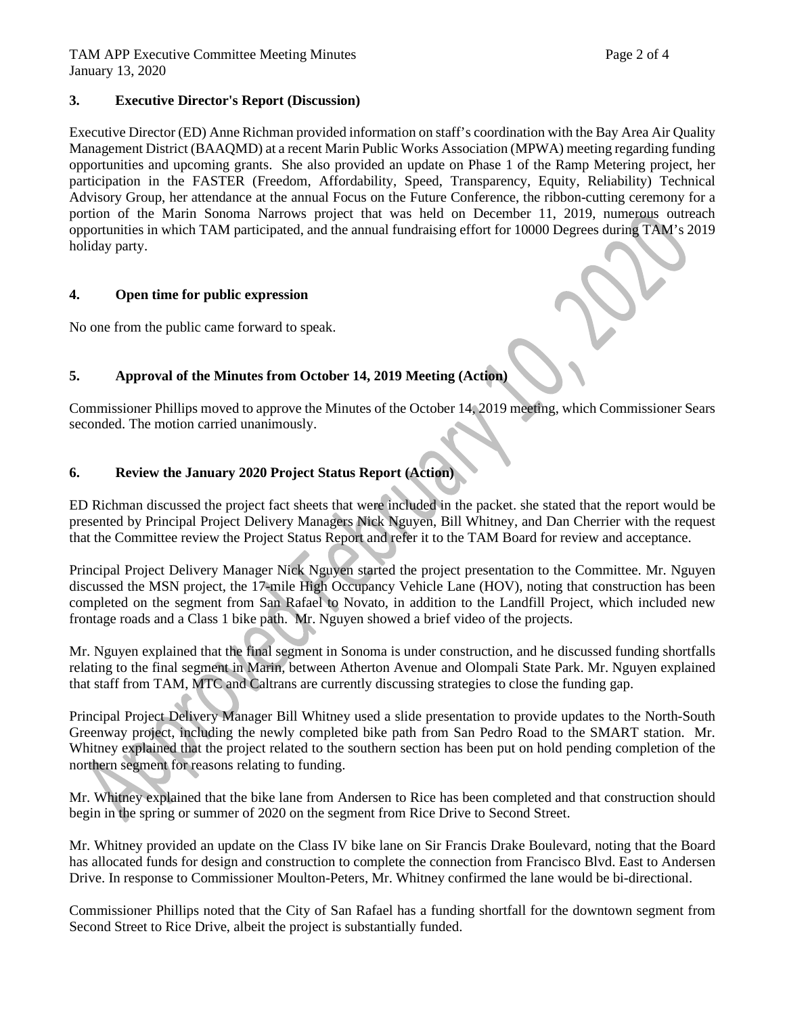#### **3. Executive Director's Report (Discussion)**

Executive Director (ED) Anne Richman provided information on staff's coordination with the Bay Area Air Quality Management District (BAAQMD) at a recent Marin Public Works Association (MPWA) meeting regarding funding opportunities and upcoming grants. She also provided an update on Phase 1 of the Ramp Metering project, her participation in the FASTER (Freedom, Affordability, Speed, Transparency, Equity, Reliability) Technical Advisory Group, her attendance at the annual Focus on the Future Conference, the ribbon-cutting ceremony for a portion of the Marin Sonoma Narrows project that was held on December 11, 2019, numerous outreach opportunities in which TAM participated, and the annual fundraising effort for 10000 Degrees during TAM's 2019 holiday party.

## **4. Open time for public expression**

No one from the public came forward to speak.

# **5. Approval of the Minutes from October 14, 2019 Meeting (Action)**

Commissioner Phillips moved to approve the Minutes of the October 14, 2019 meeting, which Commissioner Sears seconded. The motion carried unanimously.

## **6. Review the January 2020 Project Status Report (Action)**

ED Richman discussed the project fact sheets that were included in the packet. she stated that the report would be presented by Principal Project Delivery Managers Nick Nguyen, Bill Whitney, and Dan Cherrier with the request that the Committee review the Project Status Report and refer it to the TAM Board for review and acceptance.

Principal Project Delivery Manager Nick Nguyen started the project presentation to the Committee. Mr. Nguyen discussed the MSN project, the 17-mile High Occupancy Vehicle Lane (HOV), noting that construction has been completed on the segment from San Rafael to Novato, in addition to the Landfill Project, which included new frontage roads and a Class 1 bike path. Mr. Nguyen showed a brief video of the projects.

Mr. Nguyen explained that the final segment in Sonoma is under construction, and he discussed funding shortfalls relating to the final segment in Marin, between Atherton Avenue and Olompali State Park. Mr. Nguyen explained that staff from TAM, MTC and Caltrans are currently discussing strategies to close the funding gap.

Principal Project Delivery Manager Bill Whitney used a slide presentation to provide updates to the North-South Greenway project, including the newly completed bike path from San Pedro Road to the SMART station. Mr. Whitney explained that the project related to the southern section has been put on hold pending completion of the northern segment for reasons relating to funding.

Mr. Whitney explained that the bike lane from Andersen to Rice has been completed and that construction should begin in the spring or summer of 2020 on the segment from Rice Drive to Second Street.

Mr. Whitney provided an update on the Class IV bike lane on Sir Francis Drake Boulevard, noting that the Board has allocated funds for design and construction to complete the connection from Francisco Blvd. East to Andersen Drive. In response to Commissioner Moulton-Peters, Mr. Whitney confirmed the lane would be bi-directional.

Commissioner Phillips noted that the City of San Rafael has a funding shortfall for the downtown segment from Second Street to Rice Drive, albeit the project is substantially funded.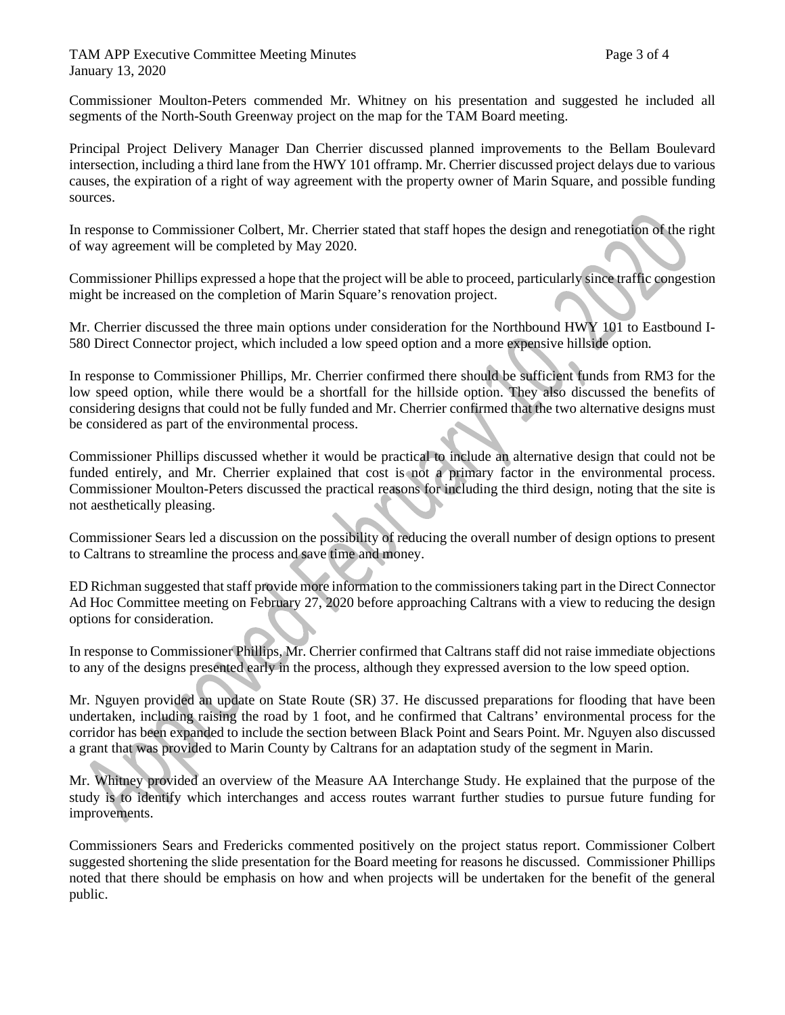TAM APP Executive Committee Meeting Minutes **Page 1 and September 2** and Page 3 of 4 January 13, 2020

Commissioner Moulton-Peters commended Mr. Whitney on his presentation and suggested he included all segments of the North-South Greenway project on the map for the TAM Board meeting.

Principal Project Delivery Manager Dan Cherrier discussed planned improvements to the Bellam Boulevard intersection, including a third lane from the HWY 101 offramp. Mr. Cherrier discussed project delays due to various causes, the expiration of a right of way agreement with the property owner of Marin Square, and possible funding sources.

In response to Commissioner Colbert, Mr. Cherrier stated that staff hopes the design and renegotiation of the right of way agreement will be completed by May 2020.

Commissioner Phillips expressed a hope that the project will be able to proceed, particularly since traffic congestion might be increased on the completion of Marin Square's renovation project.

Mr. Cherrier discussed the three main options under consideration for the Northbound HWY 101 to Eastbound I-580 Direct Connector project, which included a low speed option and a more expensive hillside option.

In response to Commissioner Phillips, Mr. Cherrier confirmed there should be sufficient funds from RM3 for the low speed option, while there would be a shortfall for the hillside option. They also discussed the benefits of considering designs that could not be fully funded and Mr. Cherrier confirmed that the two alternative designs must be considered as part of the environmental process.

Commissioner Phillips discussed whether it would be practical to include an alternative design that could not be funded entirely, and Mr. Cherrier explained that cost is not a primary factor in the environmental process. Commissioner Moulton-Peters discussed the practical reasons for including the third design, noting that the site is not aesthetically pleasing.

Commissioner Sears led a discussion on the possibility of reducing the overall number of design options to present to Caltrans to streamline the process and save time and money.

ED Richman suggested that staff provide more information to the commissioners taking part in the Direct Connector Ad Hoc Committee meeting on February 27, 2020 before approaching Caltrans with a view to reducing the design options for consideration.

In response to Commissioner Phillips, Mr. Cherrier confirmed that Caltrans staff did not raise immediate objections to any of the designs presented early in the process, although they expressed aversion to the low speed option.

Mr. Nguyen provided an update on State Route (SR) 37. He discussed preparations for flooding that have been undertaken, including raising the road by 1 foot, and he confirmed that Caltrans' environmental process for the corridor has been expanded to include the section between Black Point and Sears Point. Mr. Nguyen also discussed a grant that was provided to Marin County by Caltrans for an adaptation study of the segment in Marin.

Mr. Whitney provided an overview of the Measure AA Interchange Study. He explained that the purpose of the study is to identify which interchanges and access routes warrant further studies to pursue future funding for improvements.

Commissioners Sears and Fredericks commented positively on the project status report. Commissioner Colbert suggested shortening the slide presentation for the Board meeting for reasons he discussed. Commissioner Phillips noted that there should be emphasis on how and when projects will be undertaken for the benefit of the general public.